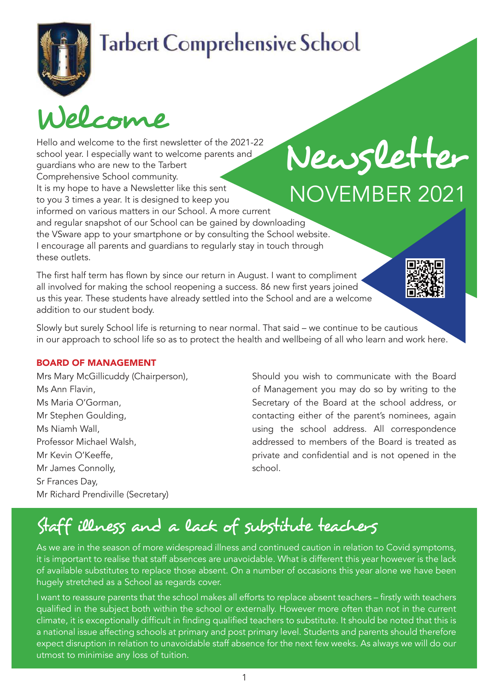# **Tarbert Comprehensive School**

Welcome

Hello and welcome to the first newsletter of the 2021-22 school year. I especially want to welcome parents and guardians who are new to the Tarbert Comprehensive School community. It is my hope to have a Newsletter like this sent to you 3 times a year. It is designed to keep you informed on various matters in our School. A more current and regular snapshot of our School can be gained by downloading the VSware app to your smartphone or by consulting the School website. I encourage all parents and guardians to regularly stay in touch through these outlets. Newsletter NoVember 2021

The first half term has flown by since our return in August. I want to compliment all involved for making the school reopening a success. 86 new first years joined us this year. These students have already settled into the School and are a welcome addition to our student body.



Slowly but surely School life is returning to near normal. That said – we continue to be cautious in our approach to school life so as to protect the health and wellbeing of all who learn and work here.

### Board of ManageMent

Mrs Mary McGillicuddy (Chairperson), Ms Ann Flavin, Ms Maria O'Gorman, Mr Stephen Goulding, Ms Niamh Wall, Professor michael Walsh, Mr Kevin O'Keeffe, Mr James Connolly, Sr Frances Day, Mr Richard Prendiville (Secretary)

Should you wish to communicate with the board of management you may do so by writing to the Secretary of the board at the school address, or contacting either of the parent's nominees, again using the school address. All correspondence addressed to members of the board is treated as private and confidential and is not opened in the school.

## Staff illness and a lack of substitute teachers

As we are in the season of more widespread illness and continued caution in relation to Covid symptoms, it is important to realise that staff absences are unavoidable. What is different this year however is the lack of available substitutes to replace those absent. On a number of occasions this year alone we have been hugely stretched as a School as regards cover.

I want to reassure parents that the school makes all efforts to replace absent teachers – firstly with teachers qualified in the subject both within the school or externally. However more often than not in the current climate, it is exceptionally difficult in finding qualified teachers to substitute. It should be noted that this is a national issue affecting schools at primary and post primary level. Students and parents should therefore expect disruption in relation to unavoidable staff absence for the next few weeks. As always we will do our utmost to minimise any loss of tuition.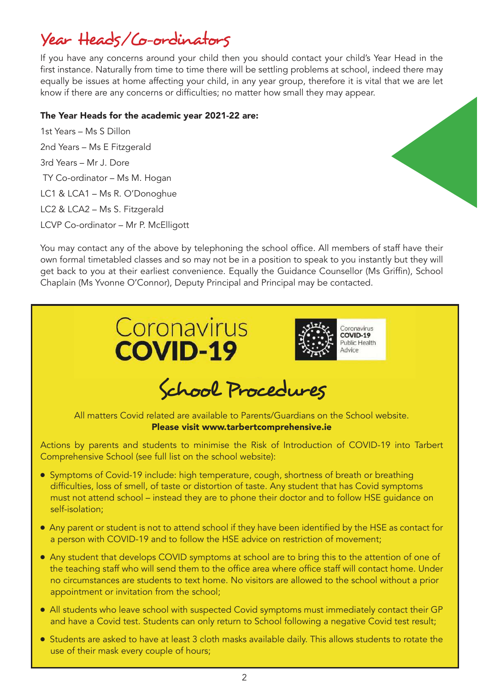## Year Heads/Co-ordinators

If you have any concerns around your child then you should contact your child's Year Head in the first instance. Naturally from time to time there will be settling problems at school, indeed there may equally be issues at home affecting your child, in any year group, therefore it is vital that we are let know if there are any concerns or difficulties; no matter how small they may appear.

#### The Year Heads for the academic year 2021-22 are:

1st Years – Ms S Dillon 2nd Years - Ms E Fitzgerald 3rd Years – Mr J. Dore TY Co-ordinator - Ms M. Hogan LC1 & LCA1 – Ms R. O'Donoghue LC2 & LCA2 - Ms S. Fitzgerald LCVP Co-ordinator - Mr P. McElligott



You may contact any of the above by telephoning the school office. All members of staff have their own formal timetabled classes and so may not be in a position to speak to you instantly but they will get back to you at their earliest convenience. Equally the Guidance Counsellor (Ms Griffin), School Chaplain (Ms Yvonne O'Connor), Deputy Principal and Principal may be contacted.



- All students who leave school with suspected Covid symptoms must immediately contact their GP and have a Covid test. Students can only return to School following a negative Covid test result;
- Students are asked to have at least 3 cloth masks available daily. This allows students to rotate the use of their mask every couple of hours;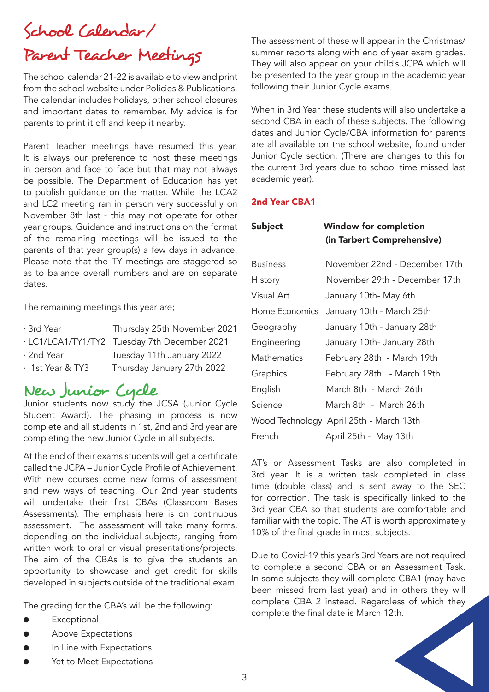## School Calendar/ Parent Teacher Meetings

The school calendar 21-22 is available to view and print from the school website under Policies & Publications. The calendar includes holidays, other school closures and important dates to remember. My advice is for parents to print it off and keep it nearby.

Parent Teacher meetings have resumed this year. It is always our preference to host these meetings in person and face to face but that may not always be possible. The Department of Education has yet to publish guidance on the matter. While the LCA2 and LC2 meeting ran in person very successfully on November 8th last - this may not operate for other year groups. Guidance and instructions on the format of the remaining meetings will be issued to the parents of that year group(s) a few days in advance. Please note that the TY meetings are staggered so as to balance overall numbers and are on separate dates.

The remaining meetings this year are;

| · 3rd Year       | Thursday 25th November 2021                  |
|------------------|----------------------------------------------|
|                  | · LC1/LCA1/TY1/TY2 Tuesday 7th December 2021 |
| · 2nd Year       | Tuesday 11th January 2022                    |
| · 1st Year & TY3 | Thursday January 27th 2022                   |

## New Junior Cycle

Junior students now study the JCSA (Junior Cycle Student Award). The phasing in process is now complete and all students in 1st, 2nd and 3rd year are completing the new Junior Cycle in all subjects.

At the end of their exams students will get a certificate called the JCPA – Junior Cycle Profile of Achievement. With new courses come new forms of assessment and new ways of teaching. Our 2nd year students will undertake their first CBAs (Classroom Bases Assessments). The emphasis here is on continuous assessment. The assessment will take many forms, depending on the individual subjects, ranging from written work to oral or visual presentations/projects. The aim of the CBAs is to give the students an opportunity to showcase and get credit for skills developed in subjects outside of the traditional exam.

The grading for the CBA's will be the following:

- Exceptional
- Above Expectations
- In Line with Expectations
- Yet to Meet Expectations

The assessment of these will appear in the Christmas/ summer reports along with end of year exam grades. They will also appear on your child's JCPA which will be presented to the year group in the academic year following their Junior Cycle exams.

When in 3rd Year these students will also undertake a second CBA in each of these subjects. The following dates and Junior Cycle/CbA information for parents are all available on the school website, found under Junior Cycle section. (There are changes to this for the current 3rd years due to school time missed last academic year).

### 2nd Year CBA1

| <b>Subject</b>  | <b>Window for completion</b><br>(in Tarbert Comprehensive) |
|-----------------|------------------------------------------------------------|
| <b>Business</b> | November 22nd - December 17th                              |
| History         | November 29th - December 17th                              |
| Visual Art      | January 10th- May 6th                                      |
| Home Economics  | January 10th - March 25th                                  |
| Geography       | January 10th - January 28th                                |
| Engineering     | January 10th- January 28th                                 |
| Mathematics     | February 28th - March 19th                                 |
| Graphics        | February 28th - March 19th                                 |
| English         | March 8th - March 26th                                     |
| Science         | March 8th  -  March 26th                                   |
|                 | Wood Technology April 25th - March 13th                    |
| French          | April 25th - May 13th                                      |

AT's or Assessment Tasks are also completed in 3rd year. It is a written task completed in class time (double class) and is sent away to the SEC for correction. The task is specifically linked to the 3rd year CBA so that students are comfortable and familiar with the topic. The AT is worth approximately 10% of the final grade in most subjects.

Due to Covid-19 this year's 3rd Years are not required to complete a second CBA or an Assessment Task. In some subjects they will complete CBA1 (may have been missed from last year) and in others they will complete CBA 2 instead. Regardless of which they complete the final date is march 12th.

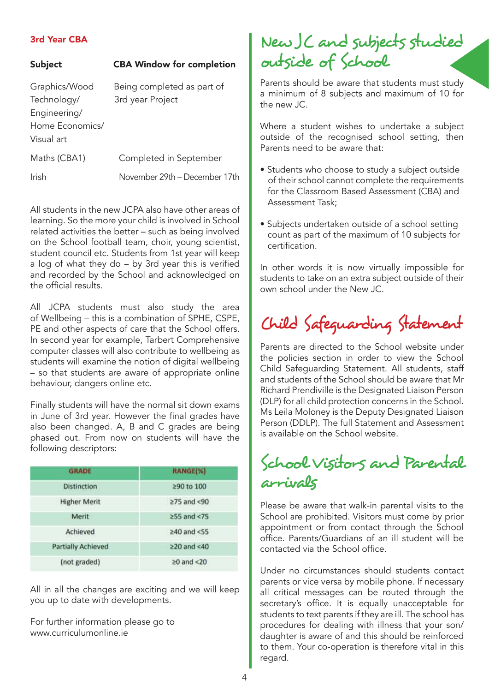#### 3rd Year CBA

| Subject       | <b>CBA Window for completion</b> |  |  |
|---------------|----------------------------------|--|--|
| Graphics/Wood | Being completed as part of       |  |  |

Technology/ 3rd year Project Engineering/ Home Economics/ Visual art Maths (CBA1) Completed in September Irish November 29th – December 17th

All students in the new JCPA also have other areas of learning. So the more your child is involved in School related activities the better – such as being involved on the School football team, choir, young scientist, student council etc. Students from 1st year will keep a log of what they do – by 3rd year this is verified and recorded by the School and acknowledged on the official results.

All JCPA students must also study the area of Wellbeing – this is a combination of SPHe, CSPe, PE and other aspects of care that the School offers. In second year for example, Tarbert Comprehensive computer classes will also contribute to wellbeing as students will examine the notion of digital wellbeing – so that students are aware of appropriate online behaviour, dangers online etc.

Finally students will have the normal sit down exams in June of 3rd year. However the final grades have also been changed. A, B and C grades are being phased out. From now on students will have the following descriptors:

| <b>GRADE</b>              | <b>RANGE(%)</b>   |
|---------------------------|-------------------|
| <b>Distinction</b>        | ≥90 to 100        |
| <b>Higher Merit</b>       | $\geq 75$ and <90 |
| Merit                     | $\geq$ 55 and <75 |
| Achieved                  | $≥40$ and <55     |
| <b>Partially Achieved</b> | $\geq$ 20 and <40 |
| (not graded)              | $\geq 0$ and <20  |

All in all the changes are exciting and we will keep you up to date with developments.

For further information please go to www.curriculumonline.ie

## New JC and subjects studied outside of School

Parents should be aware that students must study a minimum of 8 subjects and maximum of 10 for the new JC.

Where a student wishes to undertake a subject outside of the recognised school setting, then Parents need to be aware that:

- Students who choose to study a subject outside of their school cannot complete the requirements for the Classroom Based Assessment (CBA) and Assessment Task;
- Subjects undertaken outside of a school setting count as part of the maximum of 10 subjects for certification.

In other words it is now virtually impossible for students to take on an extra subject outside of their own school under the New JC.

# Child Safeguarding Statement

Parents are directed to the School website under the policies section in order to view the School Child Safeguarding Statement. All students, staff and students of the School should be aware that Mr Richard Prendiville is the Designated Liaison Person (DLP) for all child protection concerns in the School. Ms Leila Moloney is the Deputy Designated Liaison Person (DDLP). The full Statement and Assessment is available on the School website.

## School Visitors and Parental arrivals

Please be aware that walk-in parental visits to the School are prohibited. Visitors must come by prior appointment or from contact through the School office. Parents/Guardians of an ill student will be contacted via the School office.

Under no circumstances should students contact parents or vice versa by mobile phone. If necessary all critical messages can be routed through the secretary's office. It is equally unacceptable for students to text parents if they are ill. The school has procedures for dealing with illness that your son/ daughter is aware of and this should be reinforced to them. Your co-operation is therefore vital in this regard.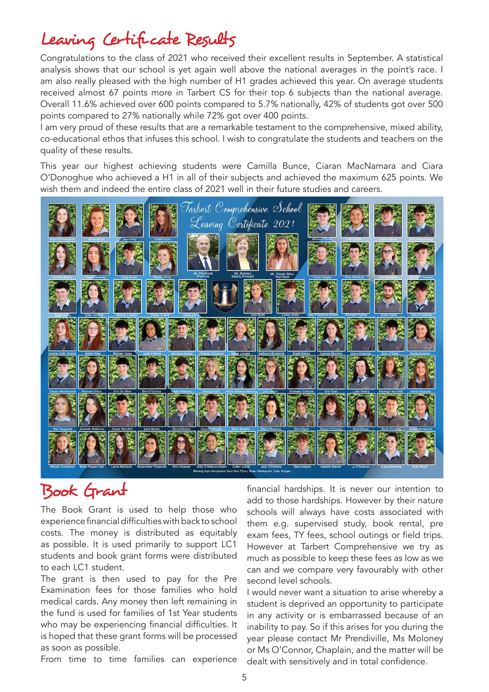## Leaving Certificate Results

Congratulations to the class of 2021 who received their excellent results in September. A statistical analysis shows that our school is yet again well above the national averages in the point's race. I am also really pleased with the high number of H1 grades achieved this year. On average students received almost 67 points more in Tarbert CS for their top 6 subjects than the national average. overall 11.6% achieved over 600 points compared to 5.7% nationally, 42% of students got over 500 points compared to 27% nationally while 72% got over 400 points.

I am very proud of these results that are a remarkable testament to the comprehensive, mixed ability, co-educational ethos that infuses this school. I wish to congratulate the students and teachers on the quality of these results.

This year our highest achieving students were Camilla Bunce, Ciaran MacNamara and Ciara o'Donoghue who achieved a H1 in all of their subjects and achieved the maximum 625 points. We wish them and indeed the entire class of 2021 well in their future studies and careers.



### Book Grant

The book Grant is used to help those who experience financial difficulties with back to school costs. The money is distributed as equitably as possible. It is used primarily to support LC1 students and book grant forms were distributed to each LC1 student.

The grant is then used to pay for the Pre Examination fees for those families who hold medical cards. Any money then left remaining in the fund is used for families of 1st Year students who may be experiencing financial difficulties. It is hoped that these grant forms will be processed as soon as possible.

From time to time families can experience

financial hardships. It is never our intention to add to those hardships. However by their nature schools will always have costs associated with them e.g. supervised study, book rental, pre exam fees, TY fees, school outings or field trips. However at Tarbert Comprehensive we try as much as possible to keep these fees as low as we can and we compare very favourably with other second level schools.

I would never want a situation to arise whereby a student is deprived an opportunity to participate in any activity or is embarrassed because of an inability to pay. So if this arises for you during the year please contact Mr Prendiville, Ms Moloney or Ms O'Connor, Chaplain, and the matter will be dealt with sensitively and in total confidence.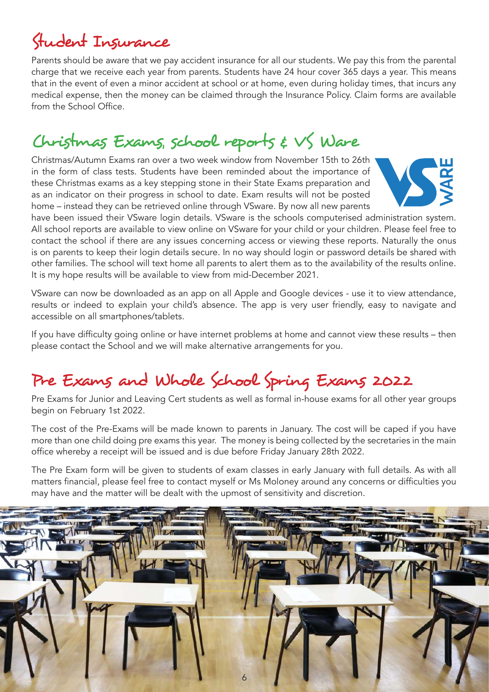# Student Insurance

Parents should be aware that we pay accident insurance for all our students. We pay this from the parental charge that we receive each year from parents. Students have 24 hour cover 365 days a year. This means that in the event of even a minor accident at school or at home, even during holiday times, that incurs any medical expense, then the money can be claimed through the Insurance Policy. Claim forms are available from the School Office.

## Christmas Exams, school reports & VS Ware

Christmas/Autumn Exams ran over a two week window from November 15th to 26th in the form of class tests. Students have been reminded about the importance of these Christmas exams as a key stepping stone in their State Exams preparation and as an indicator on their progress in school to date. Exam results will not be posted home – instead they can be retrieved online through VSware. by now all new parents



have been issued their VSware login details. VSware is the schools computerised administration system. All school reports are available to view online on VSware for your child or your children. Please feel free to contact the school if there are any issues concerning access or viewing these reports. Naturally the onus is on parents to keep their login details secure. In no way should login or password details be shared with other families. The school will text home all parents to alert them as to the availability of the results online. It is my hope results will be available to view from mid-December 2021.

VSware can now be downloaded as an app on all Apple and Google devices - use it to view attendance, results or indeed to explain your child's absence. The app is very user friendly, easy to navigate and accessible on all smartphones/tablets.

If you have difficulty going online or have internet problems at home and cannot view these results – then please contact the School and we will make alternative arrangements for you.

## Pre Exams and Whole School Spring Exams 2022

Pre Exams for Junior and Leaving Cert students as well as formal in-house exams for all other year groups begin on February 1st 2022.

The cost of the Pre-Exams will be made known to parents in January. The cost will be caped if you have more than one child doing pre exams this year. The money is being collected by the secretaries in the main office whereby a receipt will be issued and is due before Friday January 28th 2022.

The Pre Exam form will be given to students of exam classes in early January with full details. As with all matters financial, please feel free to contact myself or Ms Moloney around any concerns or difficulties you may have and the matter will be dealt with the upmost of sensitivity and discretion.

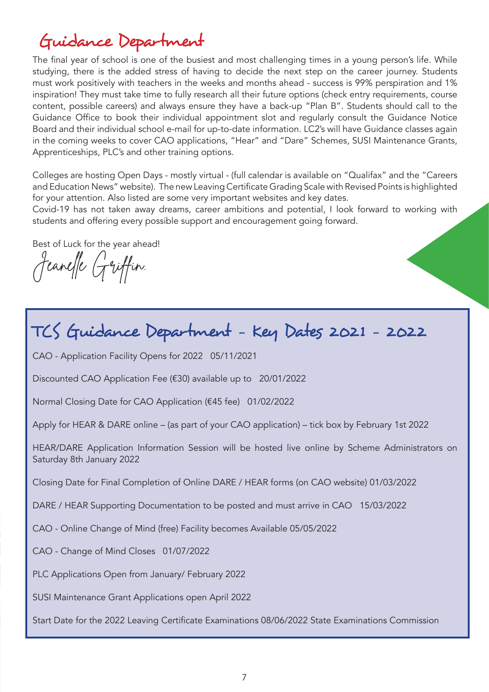## Guidance Department

The final year of school is one of the busiest and most challenging times in a young person's life. While studying, there is the added stress of having to decide the next step on the career journey. Students must work positively with teachers in the weeks and months ahead - success is 99% perspiration and 1% inspiration! They must take time to fully research all their future options (check entry requirements, course content, possible careers) and always ensure they have a back-up "Plan b". Students should call to the Guidance office to book their individual appointment slot and regularly consult the Guidance Notice board and their individual school e-mail for up-to-date information. LC2's will have Guidance classes again in the coming weeks to cover CAO applications, "Hear" and "Dare" Schemes, SUSI Maintenance Grants, Apprenticeships, PLC's and other training options.

Colleges are hosting Open Days - mostly virtual - (full calendar is available on "Qualifax" and the "Careers and Education News" website). The new Leaving Certificate Grading Scale with Revised Points is highlighted for your attention. Also listed are some very important websites and key dates.

Covid-19 has not taken away dreams, career ambitions and potential, I look forward to working with students and offering every possible support and encouragement going forward.

best of Luck for the year ahead!

Jeanelle Griffin.

## TCS Guidance Department - Key Dates 2021 - 2022

CAo - Application Facility opens for 2022 05/11/2021

Discounted CAo Application Fee (€30) available up to 20/01/2022

Normal Closing Date for CAo Application (€45 fee) 01/02/2022

Apply for HEAR & DARE online – (as part of your CAO application) – tick box by February 1st 2022

HEAR/DARE Application Information Session will be hosted live online by Scheme Administrators on Saturday 8th January 2022

Closing Date for Final Completion of online DAre / HeAr forms (on CAo website) 01/03/2022

DARE / HEAR Supporting Documentation to be posted and must arrive in CAO 15/03/2022

CAo - online Change of mind (free) Facility becomes Available 05/05/2022

CAo - Change of mind Closes 01/07/2022

PLC Applications Open from January/ February 2022

SUSI maintenance Grant Applications open April 2022

Start Date for the 2022 Leaving Certificate Examinations 08/06/2022 State Examinations Commission